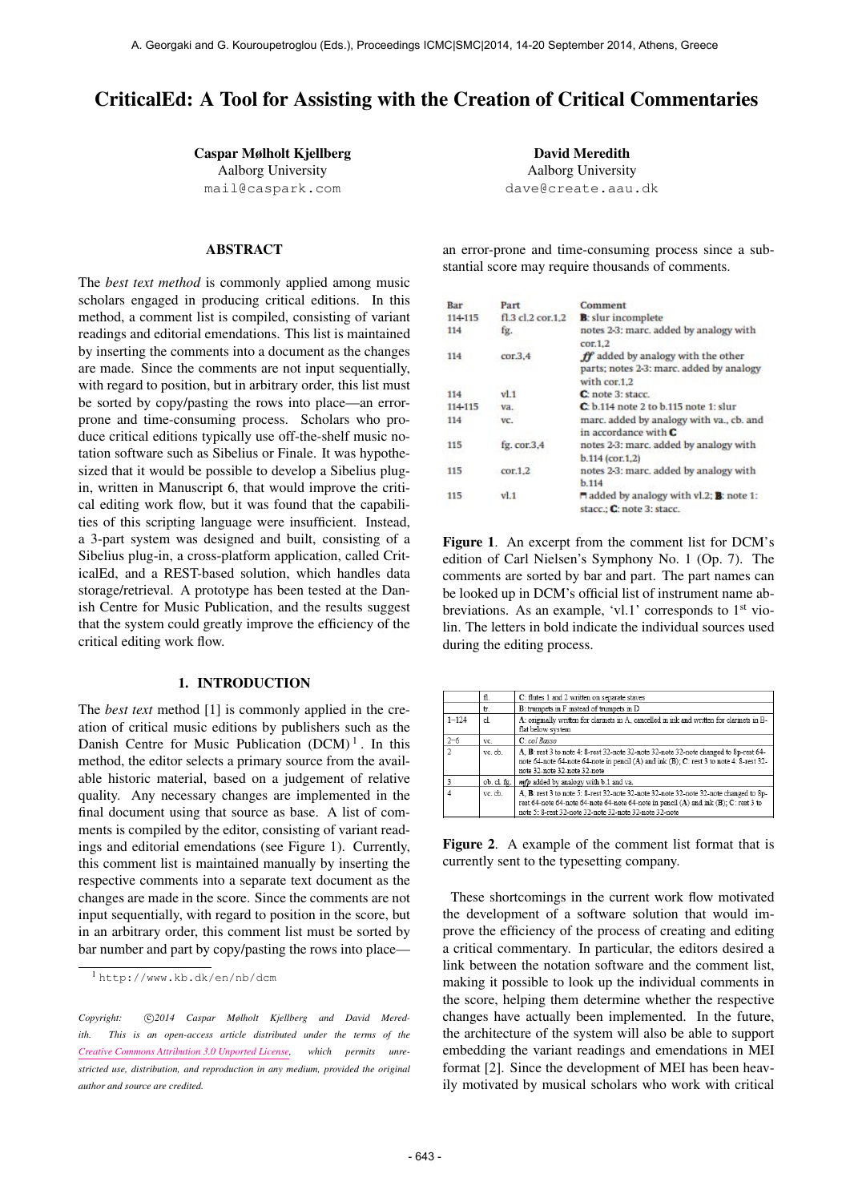# CriticalEd: A Tool for Assisting with the Creation of Critical Commentaries

Caspar Mølholt Kjellberg

Aalborg University [mail@caspark.com](mailto:mail@caspark.com)

# ABSTRACT

The *best text method* is commonly applied among music scholars engaged in producing critical editions. In this method, a comment list is compiled, consisting of variant readings and editorial emendations. This list is maintained by inserting the comments into a document as the changes are made. Since the comments are not input sequentially, with regard to position, but in arbitrary order, this list must be sorted by copy/pasting the rows into place—an errorprone and time-consuming process. Scholars who produce critical editions typically use off-the-shelf music notation software such as Sibelius or Finale. It was hypothesized that it would be possible to develop a Sibelius plugin, written in Manuscript 6, that would improve the critical editing work flow, but it was found that the capabilities of this scripting language were insufficient. Instead, a 3-part system was designed and built, consisting of a Sibelius plug-in, a cross-platform application, called CriticalEd, and a REST-based solution, which handles data storage/retrieval. A prototype has been tested at the Danish Centre for Music Publication, and the results suggest that the system could greatly improve the efficiency of the critical editing work flow.

# 1. INTRODUCTION

The *best text* method [1] is commonly applied in the creation of critical music editions by publishers such as the Danish Centre for Music Publication  $(DCM)^1$ . In this method, the editor selects a primary source from the available historic material, based on a judgement of relative quality. Any necessary changes are implemented in the final document using that source as base. A list of comments is compiled by the editor, consisting of variant readings and editorial emendations (see Figure 1). Currently, this comment list is maintained manually by inserting the respective comments into a separate text document as the changes are made in the score. Since the comments are not input sequentially, with regard to position in the score, but in an arbitrary order, this comment list must be sorted by bar number and part by copy/pasting the rows into place—

David Meredith Aalborg University [dave@create.aau.dk](mailto:dave@create.aau.dk)

an error-prone and time-consuming process since a substantial score may require thousands of comments.

| Bar     | Part              | Comment                                                                                        |
|---------|-------------------|------------------------------------------------------------------------------------------------|
| 114-115 | fl.3 cl.2 cor.1.2 | <b>B</b> : slur incomplete                                                                     |
| 114     | fg.               | notes 2-3: marc. added by analogy with<br>cor.1.2                                              |
| 114     | cor.3.4           | ff added by analogy with the other<br>parts; notes 2-3: marc, added by analogy<br>with cor.1.2 |
| 114     | vl.1              | C: note 3: stacc.                                                                              |
| 114-115 | va.               | C: b.114 note 2 to b.115 note 1: slur                                                          |
| 114     | VC.               | marc. added by analogy with va., cb. and<br>in accordance with $C$                             |
| 115     | fg. cor.3.4       | notes 2-3: marc, added by analogy with                                                         |
| 115     | cor.1.2           | $b.114$ (cor.1.2)<br>notes 2-3: marc, added by analogy with<br>b.114                           |
| 115     | vl.1              | added by analogy with vl.2; <b>B</b> : note 1:<br>stacc.: C: note 3: stacc.                    |

Figure 1. An excerpt from the comment list for DCM's edition of Carl Nielsen's Symphony No. 1 (Op. 7). The comments are sorted by bar and part. The part names can be looked up in DCM's official list of instrument name abbreviations. As an example, 'vl.1' corresponds to 1<sup>st</sup> violin. The letters in bold indicate the individual sources used during the editing process.

|                | fl.         | C: flutes 1 and 2 written on separate staves                                                                                                                                                                                            |  |
|----------------|-------------|-----------------------------------------------------------------------------------------------------------------------------------------------------------------------------------------------------------------------------------------|--|
|                | tr.         | B: trumpets in F instead of trumpets in D                                                                                                                                                                                               |  |
| $1 - 124$      | cl.         | A: originally written for clarinets in A, cancelled in ink and written for clarinets in B-<br>flat below system                                                                                                                         |  |
| $2 - 6$        | VC.         | C: col Basso                                                                                                                                                                                                                            |  |
| $\overline{2}$ | ve ch       | A. B: rest 3 to note 4: 8-rest 32-note 32-note 32-note 32-note changed to 8p-rest 64-<br>note 64-note 64-note 64-note in pencil (A) and ink (B); C: rest 3 to note 4: 8-rest 32-<br>note 32-note 32-note 32-note                        |  |
| 3              | ob. cl. fg. | mfp added by analogy with b.1 and va.                                                                                                                                                                                                   |  |
| $\Delta$       | vc. cb.     | A. B: rest 3 to note 5: 8-rest 32-note 32-note 32-note 32-note 32-note changed to 8p-<br>rest 64-note 64-note 64-note 64-note 64-note in pencil (A) and ink (B); C: rest 3 to<br>note 5: 8-rest 32-note 32-note 32-note 32-note 32-note |  |

Figure 2. A example of the comment list format that is currently sent to the typesetting company.

These shortcomings in the current work flow motivated the development of a software solution that would improve the efficiency of the process of creating and editing a critical commentary. In particular, the editors desired a link between the notation software and the comment list, making it possible to look up the individual comments in the score, helping them determine whether the respective changes have actually been implemented. In the future, the architecture of the system will also be able to support embedding the variant readings and emendations in MEI format [2]. Since the development of MEI has been heavily motivated by musical scholars who work with critical

<sup>1</sup> <http://www.kb.dk/en/nb/dcm>

Copyright:  $\bigcirc$ 2014 Caspar Mølholt Kjellberg and David Mered*ith. This is an open-access article distributed under the terms of the [Creative Commons Attribution 3.0 Unported License,](http://creativecommons.org/licenses/by/3.0/) which permits unrestricted use, distribution, and reproduction in any medium, provided the original author and source are credited.*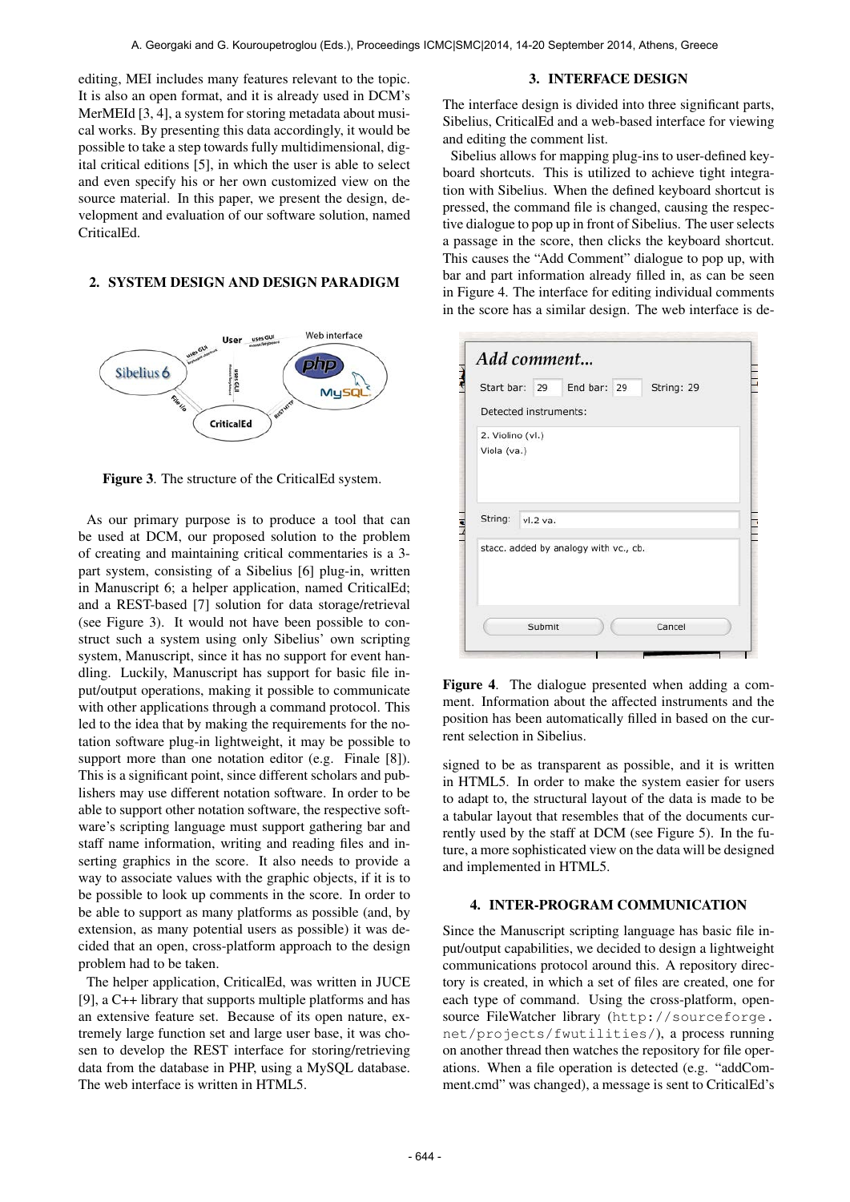editing, MEI includes many features relevant to the topic. It is also an open format, and it is already used in DCM's MerMEId [3, 4], a system for storing metadata about musical works. By presenting this data accordingly, it would be possible to take a step towards fully multidimensional, digital critical editions [5], in which the user is able to select and even specify his or her own customized view on the source material. In this paper, we present the design, development and evaluation of our software solution, named CriticalEd.

## 2. SYSTEM DESIGN AND DESIGN PARADIGM



Figure 3. The structure of the CriticalEd system.

As our primary purpose is to produce a tool that can be used at DCM, our proposed solution to the problem of creating and maintaining critical commentaries is a 3 part system, consisting of a Sibelius [6] plug-in, written in Manuscript 6; a helper application, named CriticalEd; and a REST-based [7] solution for data storage/retrieval (see Figure 3). It would not have been possible to construct such a system using only Sibelius' own scripting system, Manuscript, since it has no support for event handling. Luckily, Manuscript has support for basic file input/output operations, making it possible to communicate with other applications through a command protocol. This led to the idea that by making the requirements for the notation software plug-in lightweight, it may be possible to support more than one notation editor (e.g. Finale [8]). This is a significant point, since different scholars and publishers may use different notation software. In order to be able to support other notation software, the respective software's scripting language must support gathering bar and staff name information, writing and reading files and inserting graphics in the score. It also needs to provide a way to associate values with the graphic objects, if it is to be possible to look up comments in the score. In order to be able to support as many platforms as possible (and, by extension, as many potential users as possible) it was decided that an open, cross-platform approach to the design problem had to be taken.

The helper application, CriticalEd, was written in JUCE [9], a C++ library that supports multiple platforms and has an extensive feature set. Because of its open nature, extremely large function set and large user base, it was chosen to develop the REST interface for storing/retrieving data from the database in PHP, using a MySQL database. The web interface is written in HTML5.

#### 3. INTERFACE DESIGN

The interface design is divided into three significant parts, Sibelius, CriticalEd and a web-based interface for viewing and editing the comment list.

Sibelius allows for mapping plug-ins to user-defined keyboard shortcuts. This is utilized to achieve tight integration with Sibelius. When the defined keyboard shortcut is pressed, the command file is changed, causing the respective dialogue to pop up in front of Sibelius. The user selects a passage in the score, then clicks the keyboard shortcut. This causes the "Add Comment" dialogue to pop up, with bar and part information already filled in, as can be seen in Figure 4. The interface for editing individual comments in the score has a similar design. The web interface is de-

| Start bar: 29                                    |          | End bar: 29 | String: 29 |  |
|--------------------------------------------------|----------|-------------|------------|--|
| Detected instruments:                            |          |             |            |  |
| 2. Violino (vl.)<br>Viola (va.)                  |          |             |            |  |
|                                                  |          |             |            |  |
|                                                  | vl.2 va. |             |            |  |
| String:<br>stacc. added by analogy with vc., cb. |          |             |            |  |

Figure 4. The dialogue presented when adding a comment. Information about the affected instruments and the position has been automatically filled in based on the current selection in Sibelius.

signed to be as transparent as possible, and it is written in HTML5. In order to make the system easier for users to adapt to, the structural layout of the data is made to be a tabular layout that resembles that of the documents currently used by the staff at DCM (see Figure 5). In the future, a more sophisticated view on the data will be designed and implemented in HTML5.

## 4. INTER-PROGRAM COMMUNICATION

Since the Manuscript scripting language has basic file input/output capabilities, we decided to design a lightweight communications protocol around this. A repository directory is created, in which a set of files are created, one for each type of command. Using the cross-platform, opensource FileWatcher library ([http://sourceforge.](http://sourceforge.net/projects/fwutilities/) [net/projects/fwutilities/](http://sourceforge.net/projects/fwutilities/)), a process running on another thread then watches the repository for file operations. When a file operation is detected (e.g. "addComment.cmd" was changed), a message is sent to CriticalEd's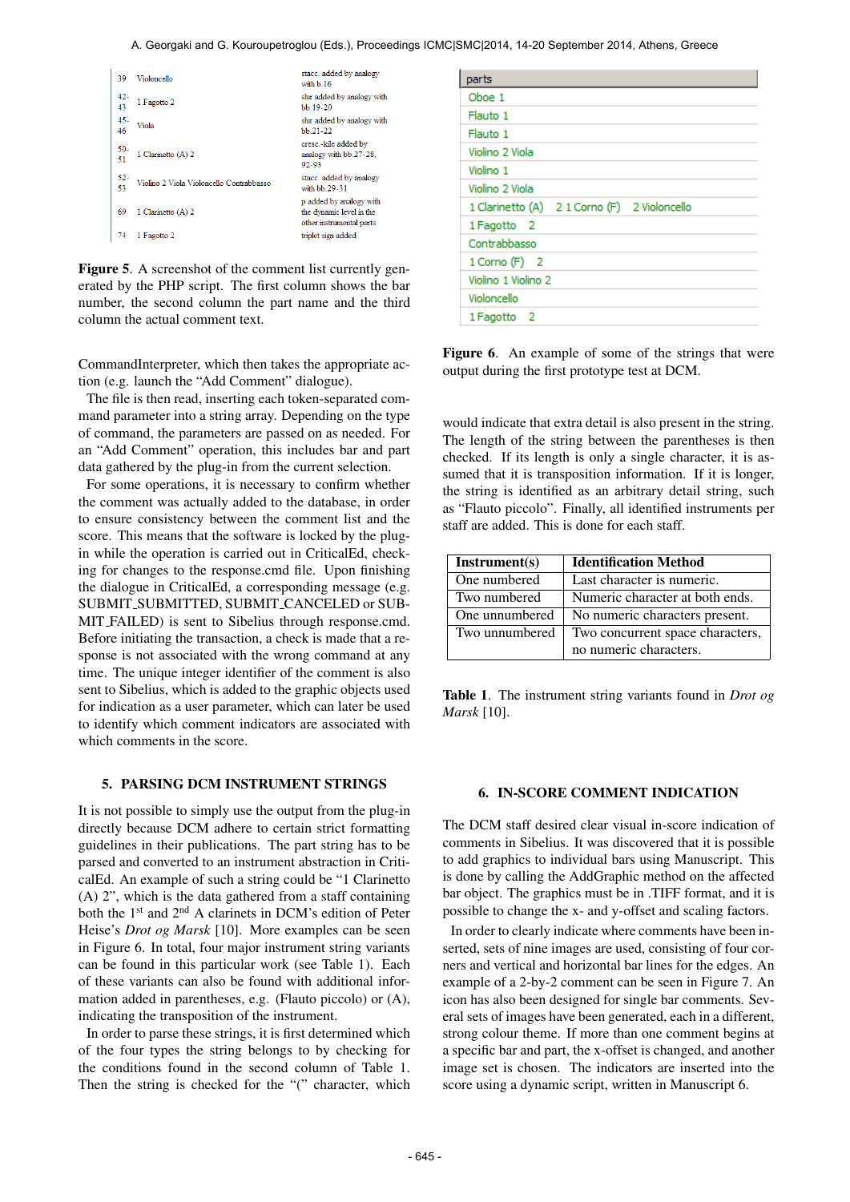| 39           | Violoncello                              | stacc. added by analogy<br>with b 16                                            |
|--------------|------------------------------------------|---------------------------------------------------------------------------------|
| 42-<br>43    | 1 Fagotto 2                              | slur added by analogy with<br>bb.19-20                                          |
| $45 -$<br>46 | Viola                                    | slur added by analogy with<br>$bb.21-22$                                        |
| $50-$        | 1 Clarinetto (A) 2                       | cresc.-kile added by<br>analogy with bb.27-28.<br>92-93                         |
| 52-<br>53    | Violino 2 Viola Violoncello Contrabbasso | stacc. added by analogy<br>with bb 29-31                                        |
| 69           | 1 Clarinetto (A) 2                       | p added by analogy with<br>the dynamic level in the<br>other instrumental parts |
| 74           | 1 Fagotto 2                              | triplet sign added                                                              |

Figure 5. A screenshot of the comment list currently generated by the PHP script. The first column shows the bar number, the second column the part name and the third column the actual comment text.

CommandInterpreter, which then takes the appropriate action (e.g. launch the "Add Comment" dialogue).

The file is then read, inserting each token-separated command parameter into a string array. Depending on the type of command, the parameters are passed on as needed. For an "Add Comment" operation, this includes bar and part data gathered by the plug-in from the current selection.

For some operations, it is necessary to confirm whether the comment was actually added to the database, in order to ensure consistency between the comment list and the score. This means that the software is locked by the plugin while the operation is carried out in CriticalEd, checking for changes to the response.cmd file. Upon finishing the dialogue in CriticalEd, a corresponding message (e.g. SUBMIT SUBMITTED, SUBMIT CANCELED or SUB-MIT FAILED) is sent to Sibelius through response.cmd. Before initiating the transaction, a check is made that a response is not associated with the wrong command at any time. The unique integer identifier of the comment is also sent to Sibelius, which is added to the graphic objects used for indication as a user parameter, which can later be used to identify which comment indicators are associated with which comments in the score.

# 5. PARSING DCM INSTRUMENT STRINGS

It is not possible to simply use the output from the plug-in directly because DCM adhere to certain strict formatting guidelines in their publications. The part string has to be parsed and converted to an instrument abstraction in CriticalEd. An example of such a string could be "1 Clarinetto (A) 2", which is the data gathered from a staff containing both the 1st and 2nd A clarinets in DCM's edition of Peter Heise's *Drot og Marsk* [10]. More examples can be seen in Figure 6. In total, four major instrument string variants can be found in this particular work (see Table 1). Each of these variants can also be found with additional information added in parentheses, e.g. (Flauto piccolo) or (A), indicating the transposition of the instrument.

In order to parse these strings, it is first determined which of the four types the string belongs to by checking for the conditions found in the second column of Table 1. Then the string is checked for the "(" character, which

| parts                                        |
|----------------------------------------------|
| Oboe 1                                       |
| Flauto 1                                     |
| Flauto 1                                     |
| Violino 2 Viola                              |
| Violino 1                                    |
| Violino 2 Viola                              |
| 1 Clarinetto (A) 2 1 Corno (F) 2 Violoncello |
| 1 Fagotto 2                                  |
| Contrabbasso                                 |
| $1$ Corno (F) $2$                            |
| Violino 1 Violino 2                          |
| Violoncello                                  |
| 1 Fagotto 2                                  |

Figure 6. An example of some of the strings that were output during the first prototype test at DCM.

would indicate that extra detail is also present in the string. The length of the string between the parentheses is then checked. If its length is only a single character, it is assumed that it is transposition information. If it is longer, the string is identified as an arbitrary detail string, such as "Flauto piccolo". Finally, all identified instruments per staff are added. This is done for each staff.

| Instrument(s)  | <b>Identification Method</b>     |
|----------------|----------------------------------|
| One numbered   | Last character is numeric.       |
| Two numbered   | Numeric character at both ends.  |
| One unnumbered | No numeric characters present.   |
| Two unnumbered | Two concurrent space characters, |
|                | no numeric characters.           |

Table 1. The instrument string variants found in *Drot og Marsk* [10].

#### 6. IN-SCORE COMMENT INDICATION

The DCM staff desired clear visual in-score indication of comments in Sibelius. It was discovered that it is possible to add graphics to individual bars using Manuscript. This is done by calling the AddGraphic method on the affected bar object. The graphics must be in .TIFF format, and it is possible to change the x- and y-offset and scaling factors.

In order to clearly indicate where comments have been inserted, sets of nine images are used, consisting of four corners and vertical and horizontal bar lines for the edges. An example of a 2-by-2 comment can be seen in Figure 7. An icon has also been designed for single bar comments. Several sets of images have been generated, each in a different, strong colour theme. If more than one comment begins at a specific bar and part, the x-offset is changed, and another image set is chosen. The indicators are inserted into the score using a dynamic script, written in Manuscript 6.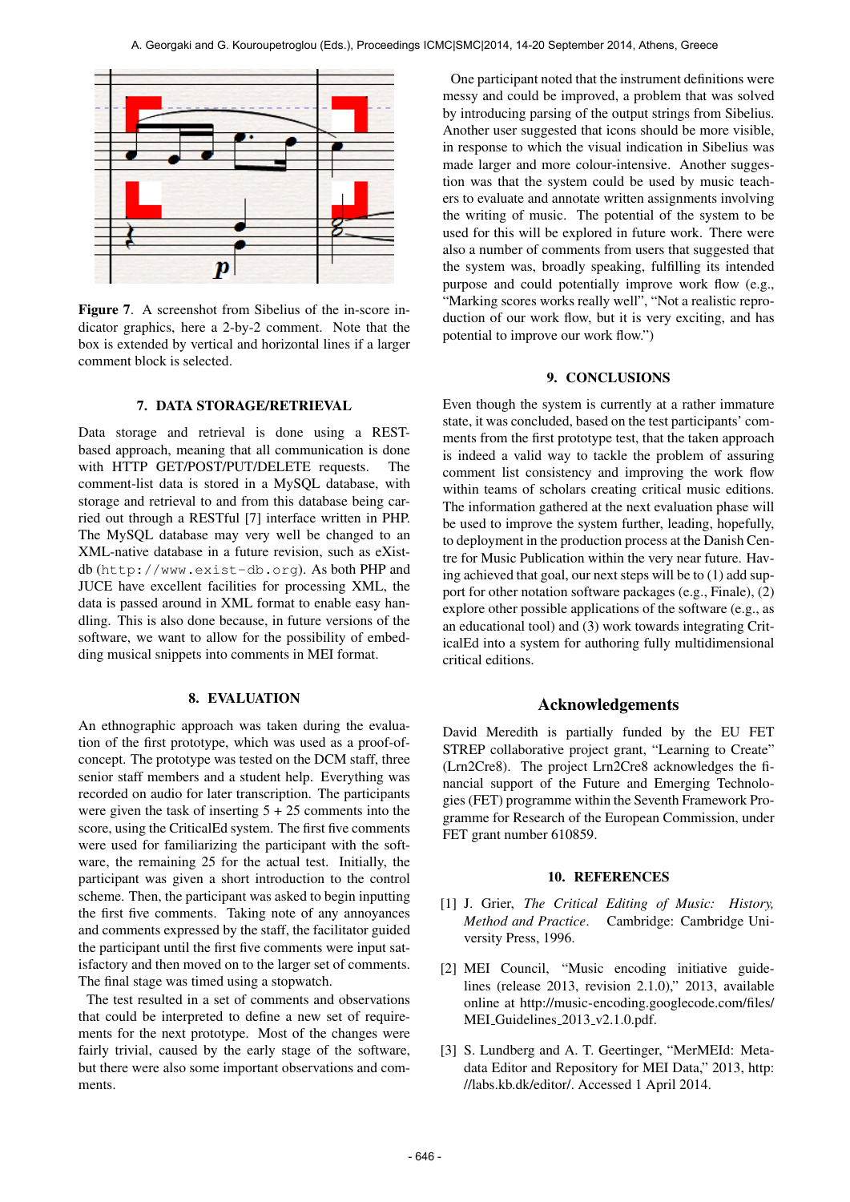

Figure 7. A screenshot from Sibelius of the in-score indicator graphics, here a 2-by-2 comment. Note that the box is extended by vertical and horizontal lines if a larger comment block is selected.

# 7. DATA STORAGE/RETRIEVAL

Data storage and retrieval is done using a RESTbased approach, meaning that all communication is done with HTTP GET/POST/PUT/DELETE requests. The comment-list data is stored in a MySQL database, with storage and retrieval to and from this database being carried out through a RESTful [7] interface written in PHP. The MySQL database may very well be changed to an XML-native database in a future revision, such as eXistdb (<http://www.exist-db.org>). As both PHP and JUCE have excellent facilities for processing XML, the data is passed around in XML format to enable easy handling. This is also done because, in future versions of the software, we want to allow for the possibility of embedding musical snippets into comments in MEI format.

# 8. EVALUATION

An ethnographic approach was taken during the evaluation of the first prototype, which was used as a proof-ofconcept. The prototype was tested on the DCM staff, three senior staff members and a student help. Everything was recorded on audio for later transcription. The participants were given the task of inserting  $5 + 25$  comments into the score, using the CriticalEd system. The first five comments were used for familiarizing the participant with the software, the remaining 25 for the actual test. Initially, the participant was given a short introduction to the control scheme. Then, the participant was asked to begin inputting the first five comments. Taking note of any annoyances and comments expressed by the staff, the facilitator guided the participant until the first five comments were input satisfactory and then moved on to the larger set of comments. The final stage was timed using a stopwatch.

The test resulted in a set of comments and observations that could be interpreted to define a new set of requirements for the next prototype. Most of the changes were fairly trivial, caused by the early stage of the software, but there were also some important observations and comments.

One participant noted that the instrument definitions were messy and could be improved, a problem that was solved by introducing parsing of the output strings from Sibelius. Another user suggested that icons should be more visible, in response to which the visual indication in Sibelius was made larger and more colour-intensive. Another suggestion was that the system could be used by music teachers to evaluate and annotate written assignments involving the writing of music. The potential of the system to be used for this will be explored in future work. There were also a number of comments from users that suggested that the system was, broadly speaking, fulfilling its intended purpose and could potentially improve work flow (e.g., "Marking scores works really well", "Not a realistic reproduction of our work flow, but it is very exciting, and has potential to improve our work flow.")

#### 9. CONCLUSIONS

Even though the system is currently at a rather immature state, it was concluded, based on the test participants' comments from the first prototype test, that the taken approach is indeed a valid way to tackle the problem of assuring comment list consistency and improving the work flow within teams of scholars creating critical music editions. The information gathered at the next evaluation phase will be used to improve the system further, leading, hopefully, to deployment in the production process at the Danish Centre for Music Publication within the very near future. Having achieved that goal, our next steps will be to (1) add support for other notation software packages (e.g., Finale), (2) explore other possible applications of the software (e.g., as an educational tool) and (3) work towards integrating CriticalEd into a system for authoring fully multidimensional critical editions.

# Acknowledgements

David Meredith is partially funded by the EU FET STREP collaborative project grant, "Learning to Create" (Lrn2Cre8). The project Lrn2Cre8 acknowledges the financial support of the Future and Emerging Technologies (FET) programme within the Seventh Framework Programme for Research of the European Commission, under FET grant number 610859.

#### 10. REFERENCES

- [1] J. Grier, *The Critical Editing of Music: History, Method and Practice*. Cambridge: Cambridge University Press, 1996.
- [2] MEI Council, "Music encoding initiative guidelines (release 2013, revision 2.1.0)," 2013, available online at [http://music-encoding.googlecode.com/files/](http://music-encoding.googlecode.com/files/MEI_Guidelines_2013_v2.1.0.pdf) MEI\_[Guidelines](http://music-encoding.googlecode.com/files/MEI_Guidelines_2013_v2.1.0.pdf)\_2013\_v2.1.0.pdf.
- [3] S. Lundberg and A. T. Geertinger, "MerMEId: Metadata Editor and Repository for MEI Data," 2013, [http:](http://labs.kb.dk/editor/) [//labs.kb.dk/editor/.](http://labs.kb.dk/editor/) Accessed 1 April 2014.